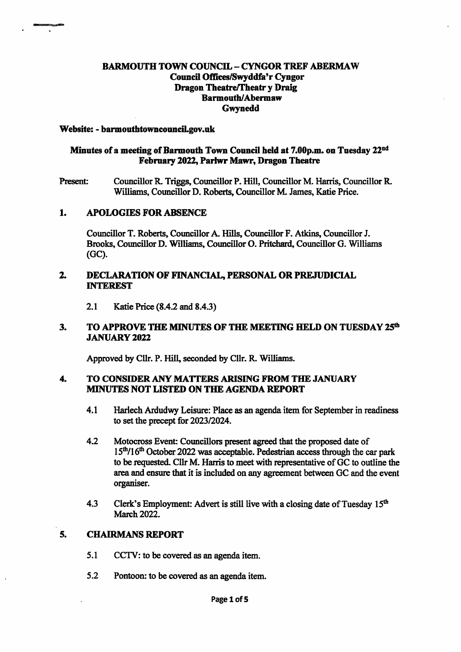# BARMOUTH TOWN COUNCIL - CYNGOR TREF ABERMAW Council Offices/Swyddfa'r Cyngor Dragon Theatre/Theatr yDraig Barmouth/Abermaw Gwynedd

#### Website: - barmouthtowncouncil.gov.uk

# Minutes of a meeting of Barmouth Town Council held at 7.00p.m. on Tuesday 22<sup>nd</sup> February 2022, Parhvr Mawr, Dragon Theatre

Present: Councillor R. Triggs, Councillor P. Hill, Councillor M. Harris, Councillor R. Williams, Councillor D. Roberts, Councillor M. James, Katie Price.

#### 1. A POLOGIES FOR ABSENCE

Councillor T. Roberts, Councillor A. Hills, Councillor F. Atkins, Councillor J. Brooks, Councillor D. Williams, Councillor O. Pritchard, Councillor G. Williams (GC).

### 2. DECLARATION OF FINANCIAL, PERSONAL OR PREJUDICIAL INTEREST

2.1 Katie Price (8.4.2 and 8.4.3)

#### TO APPROVE THE MINUTES OF THE MEETING HELD ON TUESDAY 25<sup>th</sup> **JANUARY 2022**  $3.$

Approved by Cllr. P. Hill, seconded by Cllr. R. Williams.

### 4. TO CONSIDER ANY MATTERS ARISING FROM THE JANUARY MINUTES NOT LISTED ON THE AGENDA REPORT

- 4.1 Harlech Ardudwy Leisure: Place as an agenda item for September in readiness to set the precept for 2023/2024.
- 4.2 Motocross Event: Councillors present agreed that the proposed date of  $15<sup>th</sup>/16<sup>th</sup>$  October 2022 was acceptable. Pedestrian access through the car park to be requested. Cllr M. Harris to meet with representative of GC to outline the area and ensure that it is included on any agreement between GC and the event organiser.
- 4.3 Clerk's Employment: Advert is still live with a closing date of Tuesday  $15<sup>th</sup>$ March 2022.

# 5. CHAIRMANS REPORT

- 5.1 CCTV: to be covered as an agenda item.
- 5.2 Pontoon: to be covered as an agenda item.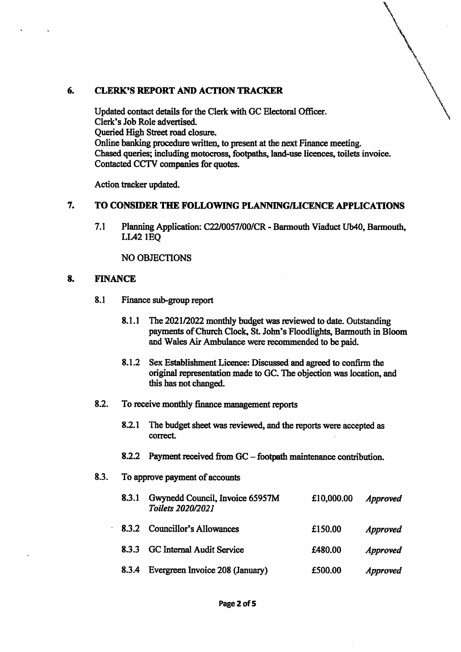### 6. CLERK'S REPORT AND ACTION TRACKER

Updated contact details for the Clerk with GC Electoral Officer. Clerk's Job Role advertised. Queried High Street road closure. Online banking procedure written, to present at the next Finance meeting. Chased queries; including motocross, footpaths, land>use licences, toilets invoice. Contacted CCTV companies for quotes.

Action tracker updated.

#### 7. TO CONSIDER THE FOLLOWING PLANNING/LICENCE APPLICATIONS

Planning Application: C22/0057/00/CR - Barmouth Viaduct Ub40, Barmouth, LL42 lEQ 7.1

NO OBJECTIONS

### 8. FINANCE

- 8.1 Finance sub-group report
	- The 2021/2022 monthly budget was reviewed to date. Outstanding payments of Church Clock, St. John's Floodlights, Barmouth in Bloom and Wales Air Ambulance were recommended to be paid. 8.1.1
	- 8.1.2 Sex Establishment Licence: Discussed and agreed to confirm the original representation made to GC. The objection was location, and this has not changed.

#### 8.2. To receive monthly finance management reports

- 8.2.1 The budget sheet was reviewed, and the reports were accepted as correct.
- 8.2.2 Payment received from GC footpath maintenance contribution.
- 8.3. To approve payment of accounts

| 8.3.1 | Gwynedd Council, Invoice 65957M<br><b>Toilets 2020/2021</b> | £10,000.00 | <i>Approved</i> |
|-------|-------------------------------------------------------------|------------|-----------------|
| 8.3.2 | <b>Councillor's Allowances</b>                              | £150.00    | <b>Approved</b> |
| 8.3.3 | GC Internal Audit Service                                   | £480.00    | <b>Approved</b> |
| 8.3.4 | Evergreen Invoice 208 (January)                             | £500.00    | <i>Approved</i> |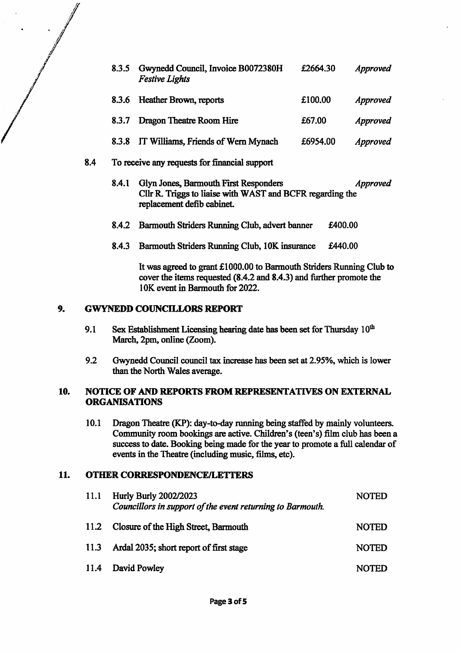|     | 8.3.5                                                                                                                                     | Gwynedd Council, Invoice B0072380H<br><b>Festive Lights</b> | £2664.30 | Approved        |
|-----|-------------------------------------------------------------------------------------------------------------------------------------------|-------------------------------------------------------------|----------|-----------------|
|     | 8.3.6                                                                                                                                     | Heather Brown, reports                                      | £100.00  | <i>Approved</i> |
|     | 8.3.7                                                                                                                                     | Dragon Theatre Room Hire                                    | £67.00   | <b>Approved</b> |
|     | 8.3.8                                                                                                                                     | IT Williams, Friends of Wern Mynach                         | £6954.00 | Approved        |
| 8.4 |                                                                                                                                           | To receive any requests for financial support               |          |                 |
|     | Glyn Jones, Barmouth First Responders<br>8.4.1<br>Cllr R. Triggs to liaise with WAST and BCFR regarding the<br>replacement defib cabinet. |                                                             |          | <i>Approved</i> |
|     | 8.4.2                                                                                                                                     | Barmouth Striders Running Club, advert banner               | £400.00  |                 |

8.4.3 Barmouth Striders Running Club, lOK insurance £440.00

It was agreed to grant £1000.00 to Barmouth Striders Running Club to cover the items requested (8.4.2 and 8.4.3) and further promote the 1OK event in Barmouth for 2022.

# 9. GWYNEDD COUNCILLORS REPORT

- Sex Establishment Licensing hearing date has been set for Thursday  $10<sup>th</sup>$ March, 2pm, online (Zoom). 9.1
- Gwynedd Council council tax increase has been set at 2.95%, which is lower than the North Wales average. 9.2

### 10. NOTICE OF AND REPORTS FROM REPRESENTATIVES ON EXTERNAL ORGANISATIONS

10.1 Dragon Theatre (KP): day-to-day running being staffed by mainly volunteers. Community room bookings are active. Children's (teen's) film club has been a success to date. Booking being made for the year to promote a full calendar of events in the Theatre (including music, films, etc).

# 11. OTHER CORRESPONDENCE/LETTERS

| 11.1 | <b>Hurly Burly 2002/2023</b><br>Councillors in support of the event returning to Barmouth. | <b>NOTED</b> |
|------|--------------------------------------------------------------------------------------------|--------------|
| 11.2 | Closure of the High Street, Barmouth                                                       | <b>NOTED</b> |
| 11.3 | Ardal 2035; short report of first stage                                                    | <b>NOTED</b> |
|      | 11.4 David Powley                                                                          | <b>NOTED</b> |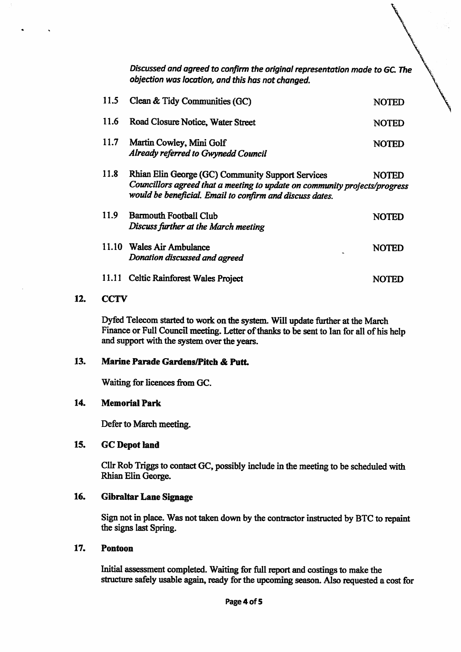Discussed and agreed to confirm the original representation made to GC. The objection was location, and this has not changed.

| 11.5        | Clean & Tidy Communities (GC)                                                                                                                                                               | NOTED        |
|-------------|---------------------------------------------------------------------------------------------------------------------------------------------------------------------------------------------|--------------|
| 11.6        | Road Closure Notice, Water Street                                                                                                                                                           | <b>NOTED</b> |
| <b>11.7</b> | Martin Cowley, Mini Golf<br>Already referred to Gwynedd Council                                                                                                                             | <b>NOTED</b> |
| <b>11.8</b> | Rhian Elin George (GC) Community Support Services<br>Councillors agreed that a meeting to update on community projects/progress<br>would be beneficial. Email to confirm and discuss dates. | <b>NOTED</b> |
| 11.9        | <b>Barmouth Football Club</b><br>Discuss further at the March meeting                                                                                                                       | NOTED        |
|             | 11.10 Wales Air Ambulance<br>Donation discussed and agreed                                                                                                                                  | <b>NOTED</b> |
| 11.11       | <b>Celtic Rainforest Wales Project</b>                                                                                                                                                      |              |

# 12. CCTV

Dyfed Telecom started to work on the system. Will update further at the March Finance or Full Council meeting. Letter of thanks to be sent to Ian for all of his help and support with the system over the years.

### 13. Marine Parade Gardens/Pitch & Putt.

Waiting for licences from GC.

#### 14. Memorial Park

Defer to March meeting.

#### 15. GC Depot land

Cllr Rob Triggs to contact GC, possibly include in the meeting to be scheduled with Rhian Elin George.

#### 16. Gibraltar Lane Signage

Sign not in place. Was not taken down by the contractor instructed by BTC to repaint the signs last Spring.

#### 17. Pontoon

Initial assessment completed. Waiting for full report and costings to make the structure safely usable again, ready for the upcoming season. Also requested a cost for